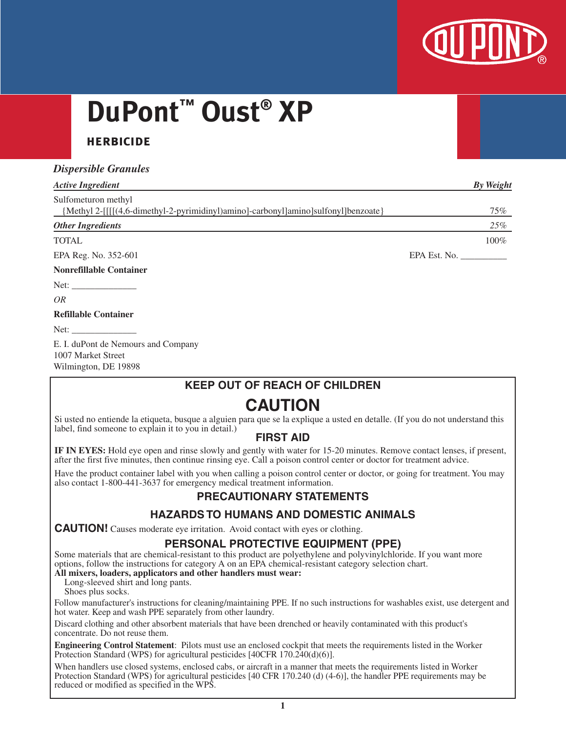

# **DuPont™ Oust® XP**

## **herbicide**

## *Dispersible Granules*

| <b>Active Ingredient</b>                                                           | <b>By Weight</b> |
|------------------------------------------------------------------------------------|------------------|
| Sulfometuron methyl                                                                |                  |
| {Methyl 2-[[[[(4,6-dimethyl-2-pyrimidinyl)amino]-carbonyl]amino]sulfonyl]benzoate} | 75%              |
| <b>Other Ingredients</b>                                                           | 25%              |
| <b>TOTAL</b>                                                                       | 100%             |
| EPA Reg. No. 352-601                                                               | EPA Est. No.     |
|                                                                                    |                  |

#### **Nonrefillable Container**

Net:

*OR*

#### **Refillable Container**

Net:  $\__$ 

E. I. duPont de Nemours and Company 1007 Market Street Wilmington, DE 19898

## **KEEP OUT OF REACH OF CHILDREN**

# **CAUTION**

Si usted no entiende la etiqueta, busque a alguien para que se la explique a usted en detalle. (If you do not understand this label, find someone to explain it to you in detail.)

## **FIRST AID**

**IF IN EYES:** Hold eye open and rinse slowly and gently with water for 15-20 minutes. Remove contact lenses, if present, after the first five minutes, then continue rinsing eye. Call a poison control center or doctor for treatment advice.

Have the product container label with you when calling a poison control center or doctor, or going for treatment. You may also contact 1-800-441-3637 for emergency medical treatment information.

## **PRECAUTIONARY STATEMENTS**

## **HAZARDS TO HUMANS AND DOMESTIC ANIMALS**

**CAUTION!** Causes moderate eye irritation. Avoid contact with eyes or clothing.

## **PERSONAL PROTECTIVE EQUIPMENT (PPE)**

Some materials that are chemical-resistant to this product are polyethylene and polyvinylchloride. If you want more options, follow the instructions for category A on an EPA chemical-resistant category selection chart.

#### **All mixers, loaders, applicators and other handlers must wear:** Long-sleeved shirt and long pants.

Shoes plus socks.

Follow manufacturer's instructions for cleaning/maintaining PPE. If no such instructions for washables exist, use detergent and hot water. Keep and wash PPE separately from other laundry.

Discard clothing and other absorbent materials that have been drenched or heavily contaminated with this product's concentrate. Do not reuse them.

**Engineering Control Statement**: Pilots must use an enclosed cockpit that meets the requirements listed in the Worker Protection Standard (WPS) for agricultural pesticides [40CFR 170.240(d)(6)].

When handlers use closed systems, enclosed cabs, or aircraft in a manner that meets the requirements listed in Worker Protection Standard (WPS) for agricultural pesticides [40 CFR 170.240 (d) (4-6)], the handler PPE requirements may be reduced or modified as specified in the WPS.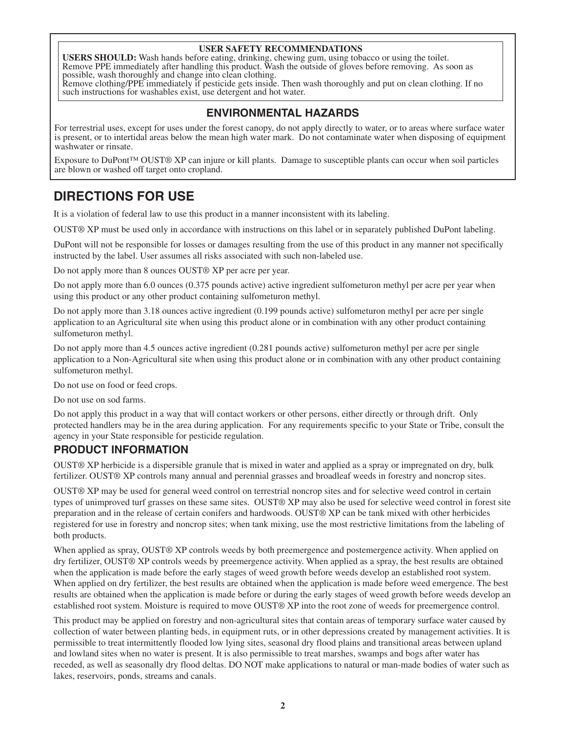#### **USER SAFETY RECOMMENDATIONS**

**USERS SHOULD:** Wash hands before eating, drinking, chewing gum, using tobacco or using the toilet. Remove PPE immediately after handling this product. Wash the outside of gloves before removing. As soon as possible, wash thoroughly and change into clean clothing.

Remove clothing/PPE immediately if pesticide gets inside. Then wash thoroughly and put on clean clothing. If no such instructions for washables exist, use detergent and hot water.

## **ENVIRONMENTAL HAZARDS**

For terrestrial uses, except for uses under the forest canopy, do not apply directly to water, or to areas where surface water is present, or to intertidal areas below the mean high water mark. Do not contaminate water when disposing of equipment washwater or rinsate.

Exposure to DuPont™ OUST® XP can injure or kill plants. Damage to susceptible plants can occur when soil particles are blown or washed off target onto cropland.

## **DIRECTIONS FOR USE**

It is a violation of federal law to use this product in a manner inconsistent with its labeling.

OUST® XP must be used only in accordance with instructions on this label or in separately published DuPont labeling.

DuPont will not be responsible for losses or damages resulting from the use of this product in any manner not specifically instructed by the label. User assumes all risks associated with such non-labeled use.

Do not apply more than 8 ounces OUST® XP per acre per year.

Do not apply more than 6.0 ounces (0.375 pounds active) active ingredient sulfometuron methyl per acre per year when using this product or any other product containing sulfometuron methyl.

Do not apply more than 3.18 ounces active ingredient (0.199 pounds active) sulfometuron methyl per acre per single application to an Agricultural site when using this product alone or in combination with any other product containing sulfometuron methyl.

Do not apply more than 4.5 ounces active ingredient (0.281 pounds active) sulfometuron methyl per acre per single application to a Non-Agricultural site when using this product alone or in combination with any other product containing sulfometuron methyl.

Do not use on food or feed crops.

Do not use on sod farms.

Do not apply this product in a way that will contact workers or other persons, either directly or through drift. Only protected handlers may be in the area during application. For any requirements specific to your State or Tribe, consult the agency in your State responsible for pesticide regulation.

## **PRODUCT INFORMATION**

OUST® XP herbicide is a dispersible granule that is mixed in water and applied as a spray or impregnated on dry, bulk fertilizer. OUST® XP controls many annual and perennial grasses and broadleaf weeds in forestry and noncrop sites.

OUST® XP may be used for general weed control on terrestrial noncrop sites and for selective weed control in certain types of unimproved turf grasses on these same sites. OUST® XP may also be used for selective weed control in forest site preparation and in the release of certain conifers and hardwoods. OUST® XP can be tank mixed with other herbicides registered for use in forestry and noncrop sites; when tank mixing, use the most restrictive limitations from the labeling of both products.

When applied as spray, OUST® XP controls weeds by both preemergence and postemergence activity. When applied on dry fertilizer, OUST® XP controls weeds by preemergence activity. When applied as a spray, the best results are obtained when the application is made before the early stages of weed growth before weeds develop an established root system. When applied on dry fertilizer, the best results are obtained when the application is made before weed emergence. The best results are obtained when the application is made before or during the early stages of weed growth before weeds develop an established root system. Moisture is required to move OUST® XP into the root zone of weeds for preemergence control.

This product may be applied on forestry and non-agricultural sites that contain areas of temporary surface water caused by collection of water between planting beds, in equipment ruts, or in other depressions created by management activities. It is permissible to treat intermittently flooded low lying sites, seasonal dry flood plains and transitional areas between upland and lowland sites when no water is present. It is also permissible to treat marshes, swamps and bogs after water has receded, as well as seasonally dry flood deltas. DO NOT make applications to natural or man-made bodies of water such as lakes, reservoirs, ponds, streams and canals.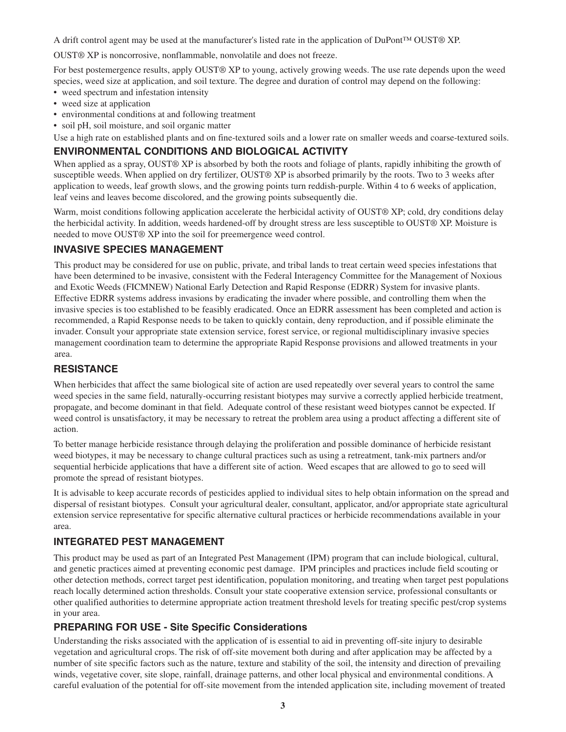A drift control agent may be used at the manufacturer's listed rate in the application of DuPont™ OUST® XP.

OUST® XP is noncorrosive, nonflammable, nonvolatile and does not freeze.

For best postemergence results, apply OUST® XP to young, actively growing weeds. The use rate depends upon the weed species, weed size at application, and soil texture. The degree and duration of control may depend on the following:

- weed spectrum and infestation intensity
- weed size at application
- environmental conditions at and following treatment
- soil pH, soil moisture, and soil organic matter

Use a high rate on established plants and on fine-textured soils and a lower rate on smaller weeds and coarse-textured soils.

## **ENVIRONMENTAL CONDITIONS AND BIOLOGICAL ACTIVITY**

When applied as a spray, OUST® XP is absorbed by both the roots and foliage of plants, rapidly inhibiting the growth of susceptible weeds. When applied on dry fertilizer, OUST® XP is absorbed primarily by the roots. Two to 3 weeks after application to weeds, leaf growth slows, and the growing points turn reddish-purple. Within 4 to 6 weeks of application, leaf veins and leaves become discolored, and the growing points subsequently die.

Warm, moist conditions following application accelerate the herbicidal activity of OUST® XP; cold, dry conditions delay the herbicidal activity. In addition, weeds hardened-off by drought stress are less susceptible to OUST® XP. Moisture is needed to move OUST® XP into the soil for preemergence weed control.

## **INVASIVE SPECIES MANAGEMENT**

This product may be considered for use on public, private, and tribal lands to treat certain weed species infestations that have been determined to be invasive, consistent with the Federal Interagency Committee for the Management of Noxious and Exotic Weeds (FICMNEW) National Early Detection and Rapid Response (EDRR) System for invasive plants. Effective EDRR systems address invasions by eradicating the invader where possible, and controlling them when the invasive species is too established to be feasibly eradicated. Once an EDRR assessment has been completed and action is recommended, a Rapid Response needs to be taken to quickly contain, deny reproduction, and if possible eliminate the invader. Consult your appropriate state extension service, forest service, or regional multidisciplinary invasive species management coordination team to determine the appropriate Rapid Response provisions and allowed treatments in your area.

## **RESISTANCE**

When herbicides that affect the same biological site of action are used repeatedly over several years to control the same weed species in the same field, naturally-occurring resistant biotypes may survive a correctly applied herbicide treatment, propagate, and become dominant in that field. Adequate control of these resistant weed biotypes cannot be expected. If weed control is unsatisfactory, it may be necessary to retreat the problem area using a product affecting a different site of action.

To better manage herbicide resistance through delaying the proliferation and possible dominance of herbicide resistant weed biotypes, it may be necessary to change cultural practices such as using a retreatment, tank-mix partners and/or sequential herbicide applications that have a different site of action. Weed escapes that are allowed to go to seed will promote the spread of resistant biotypes.

It is advisable to keep accurate records of pesticides applied to individual sites to help obtain information on the spread and dispersal of resistant biotypes. Consult your agricultural dealer, consultant, applicator, and/or appropriate state agricultural extension service representative for specific alternative cultural practices or herbicide recommendations available in your area.

## **INTEGRATED PEST MANAGEMENT**

This product may be used as part of an Integrated Pest Management (IPM) program that can include biological, cultural, and genetic practices aimed at preventing economic pest damage. IPM principles and practices include field scouting or other detection methods, correct target pest identification, population monitoring, and treating when target pest populations reach locally determined action thresholds. Consult your state cooperative extension service, professional consultants or other qualified authorities to determine appropriate action treatment threshold levels for treating specific pest/crop systems in your area.

## **PREPARING FOR USE - Site Specific Considerations**

Understanding the risks associated with the application of is essential to aid in preventing off-site injury to desirable vegetation and agricultural crops. The risk of off-site movement both during and after application may be affected by a number of site specific factors such as the nature, texture and stability of the soil, the intensity and direction of prevailing winds, vegetative cover, site slope, rainfall, drainage patterns, and other local physical and environmental conditions. A careful evaluation of the potential for off-site movement from the intended application site, including movement of treated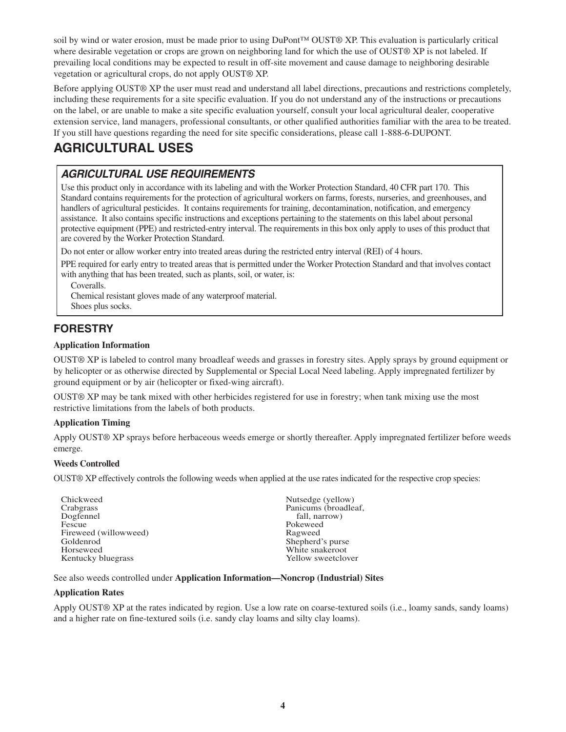soil by wind or water erosion, must be made prior to using DuPont™ OUST® XP. This evaluation is particularly critical where desirable vegetation or crops are grown on neighboring land for which the use of OUST® XP is not labeled. If prevailing local conditions may be expected to result in off-site movement and cause damage to neighboring desirable vegetation or agricultural crops, do not apply OUST® XP.

Before applying OUST® XP the user must read and understand all label directions, precautions and restrictions completely, including these requirements for a site specific evaluation. If you do not understand any of the instructions or precautions on the label, or are unable to make a site specific evaluation yourself, consult your local agricultural dealer, cooperative extension service, land managers, professional consultants, or other qualified authorities familiar with the area to be treated. If you still have questions regarding the need for site specific considerations, please call 1-888-6-DUPONT.

# **AGRICULTURAL USES**

## *AGRICULTURAL USE REQUIREMENTS*

Use this product only in accordance with its labeling and with the Worker Protection Standard, 40 CFR part 170. This Standard contains requirements for the protection of agricultural workers on farms, forests, nurseries, and greenhouses, and handlers of agricultural pesticides. It contains requirements for training, decontamination, notification, and emergency assistance. It also contains specific instructions and exceptions pertaining to the statements on this label about personal protective equipment (PPE) and restricted-entry interval. The requirements in this box only apply to uses of this product that are covered by the Worker Protection Standard.

Do not enter or allow worker entry into treated areas during the restricted entry interval (REI) of 4 hours.

PPE required for early entry to treated areas that is permitted under the Worker Protection Standard and that involves contact with anything that has been treated, such as plants, soil, or water, is:

Coveralls.

Chemical resistant gloves made of any waterproof material.

Shoes plus socks.

## **FORESTRY**

#### **Application Information**

OUST® XP is labeled to control many broadleaf weeds and grasses in forestry sites. Apply sprays by ground equipment or by helicopter or as otherwise directed by Supplemental or Special Local Need labeling. Apply impregnated fertilizer by ground equipment or by air (helicopter or fixed-wing aircraft).

OUST® XP may be tank mixed with other herbicides registered for use in forestry; when tank mixing use the most restrictive limitations from the labels of both products.

#### **Application Timing**

Apply OUST® XP sprays before herbaceous weeds emerge or shortly thereafter. Apply impregnated fertilizer before weeds emerge.

#### **Weeds Controlled**

OUST® XP effectively controls the following weeds when applied at the use rates indicated for the respective crop species:

| Chickweed             | Nutsedge (yellow)    |
|-----------------------|----------------------|
| Crabgrass             | Panicums (broadleaf, |
| Dogfennel             | fall, narrow)        |
| Fescue                | Pokeweed             |
| Fireweed (willowweed) | Ragweed              |
| Goldenrod             | Shepherd's purse     |
| Horseweed             | White snakeroot      |
| Kentucky bluegrass    | Yellow sweetclover   |

See also weeds controlled under **Application Information—Noncrop (Industrial) Sites**

#### **Application Rates**

Apply OUST® XP at the rates indicated by region. Use a low rate on coarse-textured soils (i.e., loamy sands, sandy loams) and a higher rate on fine-textured soils (i.e. sandy clay loams and silty clay loams).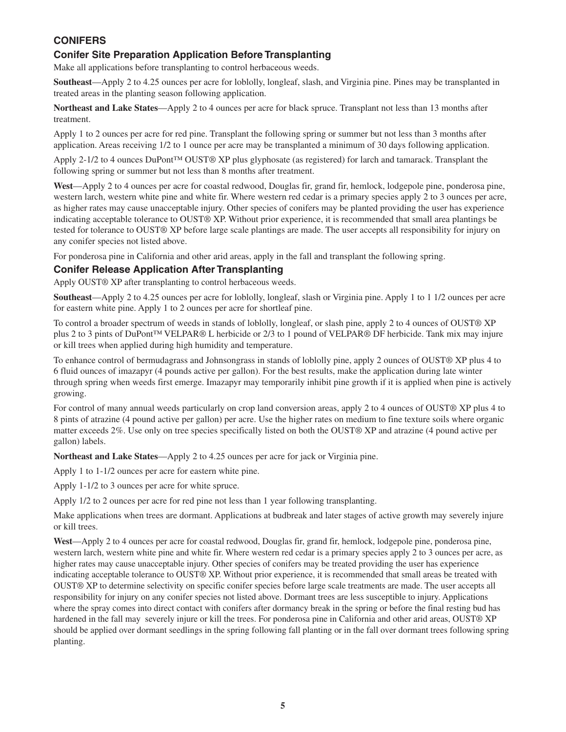## **CONIFERS**

## **Conifer Site Preparation Application Before Transplanting**

Make all applications before transplanting to control herbaceous weeds.

**Southeast**—Apply 2 to 4.25 ounces per acre for loblolly, longleaf, slash, and Virginia pine. Pines may be transplanted in treated areas in the planting season following application.

**Northeast and Lake States**—Apply 2 to 4 ounces per acre for black spruce. Transplant not less than 13 months after treatment.

Apply 1 to 2 ounces per acre for red pine. Transplant the following spring or summer but not less than 3 months after application. Areas receiving 1/2 to 1 ounce per acre may be transplanted a minimum of 30 days following application.

Apply 2-1/2 to 4 ounces DuPont™ OUST® XP plus glyphosate (as registered) for larch and tamarack. Transplant the following spring or summer but not less than 8 months after treatment.

**West**—Apply 2 to 4 ounces per acre for coastal redwood, Douglas fir, grand fir, hemlock, lodgepole pine, ponderosa pine, western larch, western white pine and white fir. Where western red cedar is a primary species apply 2 to 3 ounces per acre, as higher rates may cause unacceptable injury. Other species of conifers may be planted providing the user has experience indicating acceptable tolerance to OUST® XP. Without prior experience, it is recommended that small area plantings be tested for tolerance to OUST® XP before large scale plantings are made. The user accepts all responsibility for injury on any conifer species not listed above.

For ponderosa pine in California and other arid areas, apply in the fall and transplant the following spring.

#### **Conifer Release Application After Transplanting**

Apply OUST® XP after transplanting to control herbaceous weeds.

**Southeast**—Apply 2 to 4.25 ounces per acre for loblolly, longleaf, slash or Virginia pine. Apply 1 to 1 1/2 ounces per acre for eastern white pine. Apply 1 to 2 ounces per acre for shortleaf pine.

To control a broader spectrum of weeds in stands of loblolly, longleaf, or slash pine, apply 2 to 4 ounces of OUST® XP plus 2 to 3 pints of DuPont™ VELPAR® L herbicide or 2/3 to 1 pound of VELPAR® DF herbicide. Tank mix may injure or kill trees when applied during high humidity and temperature.

To enhance control of bermudagrass and Johnsongrass in stands of loblolly pine, apply 2 ounces of OUST® XP plus 4 to 6 fluid ounces of imazapyr (4 pounds active per gallon). For the best results, make the application during late winter through spring when weeds first emerge. Imazapyr may temporarily inhibit pine growth if it is applied when pine is actively growing.

For control of many annual weeds particularly on crop land conversion areas, apply 2 to 4 ounces of OUST® XP plus 4 to 8 pints of atrazine (4 pound active per gallon) per acre. Use the higher rates on medium to fine texture soils where organic matter exceeds 2%. Use only on tree species specifically listed on both the OUST® XP and atrazine (4 pound active per gallon) labels.

**Northeast and Lake States**—Apply 2 to 4.25 ounces per acre for jack or Virginia pine.

Apply 1 to 1-1/2 ounces per acre for eastern white pine.

Apply 1-1/2 to 3 ounces per acre for white spruce.

Apply 1/2 to 2 ounces per acre for red pine not less than 1 year following transplanting.

Make applications when trees are dormant. Applications at budbreak and later stages of active growth may severely injure or kill trees.

**West**—Apply 2 to 4 ounces per acre for coastal redwood, Douglas fir, grand fir, hemlock, lodgepole pine, ponderosa pine, western larch, western white pine and white fir. Where western red cedar is a primary species apply 2 to 3 ounces per acre, as higher rates may cause unacceptable injury. Other species of conifers may be treated providing the user has experience indicating acceptable tolerance to OUST® XP. Without prior experience, it is recommended that small areas be treated with OUST® XP to determine selectivity on specific conifer species before large scale treatments are made. The user accepts all responsibility for injury on any conifer species not listed above. Dormant trees are less susceptible to injury. Applications where the spray comes into direct contact with conifers after dormancy break in the spring or before the final resting bud has hardened in the fall may severely injure or kill the trees. For ponderosa pine in California and other arid areas, OUST® XP should be applied over dormant seedlings in the spring following fall planting or in the fall over dormant trees following spring planting.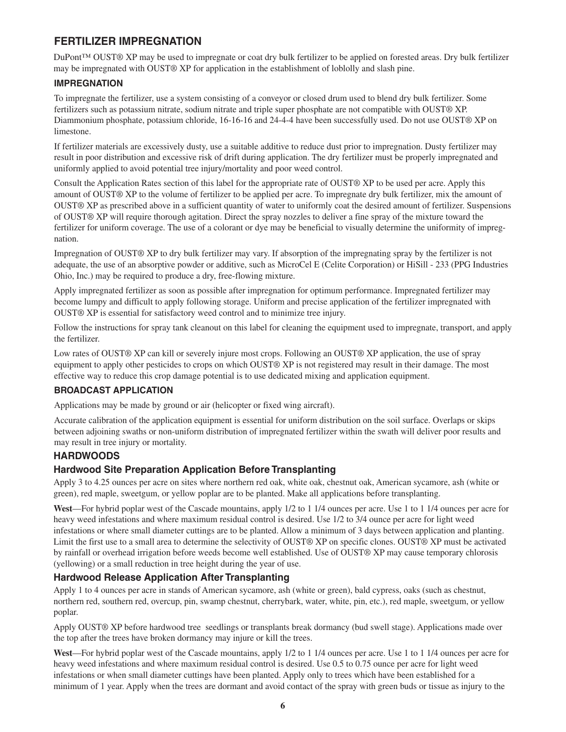## **FERTILIZER IMPREGNATION**

DuPont™ OUST® XP may be used to impregnate or coat dry bulk fertilizer to be applied on forested areas. Dry bulk fertilizer may be impregnated with OUST® XP for application in the establishment of loblolly and slash pine.

#### **IMPREGNATION**

To impregnate the fertilizer, use a system consisting of a conveyor or closed drum used to blend dry bulk fertilizer. Some fertilizers such as potassium nitrate, sodium nitrate and triple super phosphate are not compatible with OUST® XP. Diammonium phosphate, potassium chloride, 16-16-16 and 24-4-4 have been successfully used. Do not use OUST® XP on limestone.

If fertilizer materials are excessively dusty, use a suitable additive to reduce dust prior to impregnation. Dusty fertilizer may result in poor distribution and excessive risk of drift during application. The dry fertilizer must be properly impregnated and uniformly applied to avoid potential tree injury/mortality and poor weed control.

Consult the Application Rates section of this label for the appropriate rate of OUST® XP to be used per acre. Apply this amount of OUST® XP to the volume of fertilizer to be applied per acre. To impregnate dry bulk fertilizer, mix the amount of OUST® XP as prescribed above in a sufficient quantity of water to uniformly coat the desired amount of fertilizer. Suspensions of OUST® XP will require thorough agitation. Direct the spray nozzles to deliver a fine spray of the mixture toward the fertilizer for uniform coverage. The use of a colorant or dye may be beneficial to visually determine the uniformity of impregnation.

Impregnation of OUST® XP to dry bulk fertilizer may vary. If absorption of the impregnating spray by the fertilizer is not adequate, the use of an absorptive powder or additive, such as MicroCel E (Celite Corporation) or HiSill - 233 (PPG Industries Ohio, Inc.) may be required to produce a dry, free-flowing mixture.

Apply impregnated fertilizer as soon as possible after impregnation for optimum performance. Impregnated fertilizer may become lumpy and difficult to apply following storage. Uniform and precise application of the fertilizer impregnated with OUST® XP is essential for satisfactory weed control and to minimize tree injury.

Follow the instructions for spray tank cleanout on this label for cleaning the equipment used to impregnate, transport, and apply the fertilizer.

Low rates of OUST® XP can kill or severely injure most crops. Following an OUST® XP application, the use of spray equipment to apply other pesticides to crops on which OUST® XP is not registered may result in their damage. The most effective way to reduce this crop damage potential is to use dedicated mixing and application equipment.

#### **BROADCAST APPLICATION**

Applications may be made by ground or air (helicopter or fixed wing aircraft).

Accurate calibration of the application equipment is essential for uniform distribution on the soil surface. Overlaps or skips between adjoining swaths or non-uniform distribution of impregnated fertilizer within the swath will deliver poor results and may result in tree injury or mortality.

## **HARDWOODS**

#### **Hardwood Site Preparation Application Before Transplanting**

Apply 3 to 4.25 ounces per acre on sites where northern red oak, white oak, chestnut oak, American sycamore, ash (white or green), red maple, sweetgum, or yellow poplar are to be planted. Make all applications before transplanting.

**West**—For hybrid poplar west of the Cascade mountains, apply 1/2 to 1 1/4 ounces per acre. Use 1 to 1 1/4 ounces per acre for heavy weed infestations and where maximum residual control is desired. Use 1/2 to 3/4 ounce per acre for light weed infestations or where small diameter cuttings are to be planted. Allow a minimum of 3 days between application and planting. Limit the first use to a small area to determine the selectivity of OUST® XP on specific clones. OUST® XP must be activated by rainfall or overhead irrigation before weeds become well established. Use of OUST® XP may cause temporary chlorosis (yellowing) or a small reduction in tree height during the year of use.

#### **Hardwood Release Application After Transplanting**

Apply 1 to 4 ounces per acre in stands of American sycamore, ash (white or green), bald cypress, oaks (such as chestnut, northern red, southern red, overcup, pin, swamp chestnut, cherrybark, water, white, pin, etc.), red maple, sweetgum, or yellow poplar.

Apply OUST® XP before hardwood tree seedlings or transplants break dormancy (bud swell stage). Applications made over the top after the trees have broken dormancy may injure or kill the trees.

**West**—For hybrid poplar west of the Cascade mountains, apply 1/2 to 1 1/4 ounces per acre. Use 1 to 1 1/4 ounces per acre for heavy weed infestations and where maximum residual control is desired. Use 0.5 to 0.75 ounce per acre for light weed infestations or when small diameter cuttings have been planted. Apply only to trees which have been established for a minimum of 1 year. Apply when the trees are dormant and avoid contact of the spray with green buds or tissue as injury to the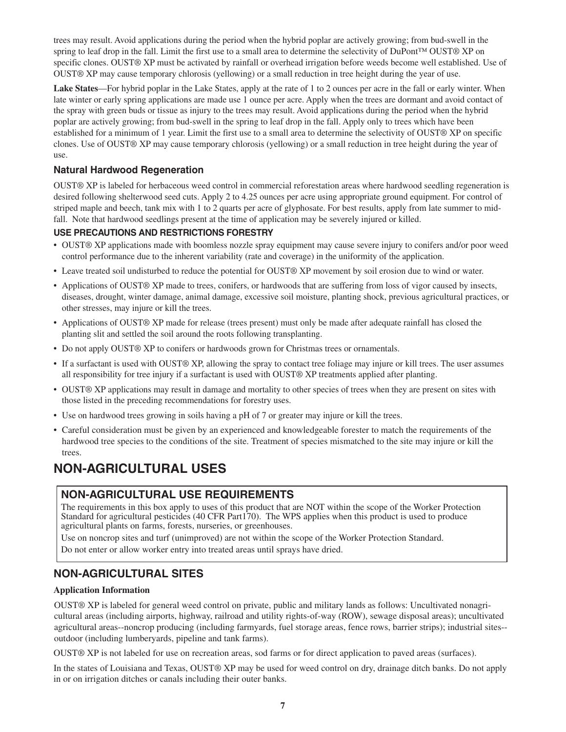trees may result. Avoid applications during the period when the hybrid poplar are actively growing; from bud-swell in the spring to leaf drop in the fall. Limit the first use to a small area to determine the selectivity of DuPont™ OUST® XP on specific clones. OUST® XP must be activated by rainfall or overhead irrigation before weeds become well established. Use of OUST® XP may cause temporary chlorosis (yellowing) or a small reduction in tree height during the year of use.

**Lake States**—For hybrid poplar in the Lake States, apply at the rate of 1 to 2 ounces per acre in the fall or early winter. When late winter or early spring applications are made use 1 ounce per acre. Apply when the trees are dormant and avoid contact of the spray with green buds or tissue as injury to the trees may result. Avoid applications during the period when the hybrid poplar are actively growing; from bud-swell in the spring to leaf drop in the fall. Apply only to trees which have been established for a minimum of 1 year. Limit the first use to a small area to determine the selectivity of OUST® XP on specific clones. Use of OUST® XP may cause temporary chlorosis (yellowing) or a small reduction in tree height during the year of use.

## **Natural Hardwood Regeneration**

OUST® XP is labeled for herbaceous weed control in commercial reforestation areas where hardwood seedling regeneration is desired following shelterwood seed cuts. Apply 2 to 4.25 ounces per acre using appropriate ground equipment. For control of striped maple and beech, tank mix with 1 to 2 quarts per acre of glyphosate. For best results, apply from late summer to midfall. Note that hardwood seedlings present at the time of application may be severely injured or killed.

## **USE PRECAUTIONS AND RESTRICTIONS FORESTRY**

- OUST® XP applications made with boomless nozzle spray equipment may cause severe injury to conifers and/or poor weed control performance due to the inherent variability (rate and coverage) in the uniformity of the application.
- Leave treated soil undisturbed to reduce the potential for OUST® XP movement by soil erosion due to wind or water.
- Applications of OUST® XP made to trees, conifers, or hardwoods that are suffering from loss of vigor caused by insects, diseases, drought, winter damage, animal damage, excessive soil moisture, planting shock, previous agricultural practices, or other stresses, may injure or kill the trees.
- Applications of OUST® XP made for release (trees present) must only be made after adequate rainfall has closed the planting slit and settled the soil around the roots following transplanting.
- Do not apply OUST® XP to conifers or hardwoods grown for Christmas trees or ornamentals.
- If a surfactant is used with OUST® XP, allowing the spray to contact tree foliage may injure or kill trees. The user assumes all responsibility for tree injury if a surfactant is used with OUST® XP treatments applied after planting.
- OUST® XP applications may result in damage and mortality to other species of trees when they are present on sites with those listed in the preceding recommendations for forestry uses.
- Use on hardwood trees growing in soils having a pH of 7 or greater may injure or kill the trees.
- Careful consideration must be given by an experienced and knowledgeable forester to match the requirements of the hardwood tree species to the conditions of the site. Treatment of species mismatched to the site may injure or kill the trees.

# **NON-AGRICULTURAL USES**

## **NON-AGRICULTURAL USE REQUIREMENTS**

The requirements in this box apply to uses of this product that are NOT within the scope of the Worker Protection Standard for agricultural pesticides (40 CFR Part170). The WPS applies when this product is used to produce agricultural plants on farms, forests, nurseries, or greenhouses.

Use on noncrop sites and turf (unimproved) are not within the scope of the Worker Protection Standard.

Do not enter or allow worker entry into treated areas until sprays have dried.

## **NON-AGRICULTURAL SITES**

#### **Application Information**

OUST® XP is labeled for general weed control on private, public and military lands as follows: Uncultivated nonagricultural areas (including airports, highway, railroad and utility rights-of-way (ROW), sewage disposal areas); uncultivated agricultural areas--noncrop producing (including farmyards, fuel storage areas, fence rows, barrier strips); industrial sites- outdoor (including lumberyards, pipeline and tank farms).

OUST® XP is not labeled for use on recreation areas, sod farms or for direct application to paved areas (surfaces).

In the states of Louisiana and Texas, OUST® XP may be used for weed control on dry, drainage ditch banks. Do not apply in or on irrigation ditches or canals including their outer banks.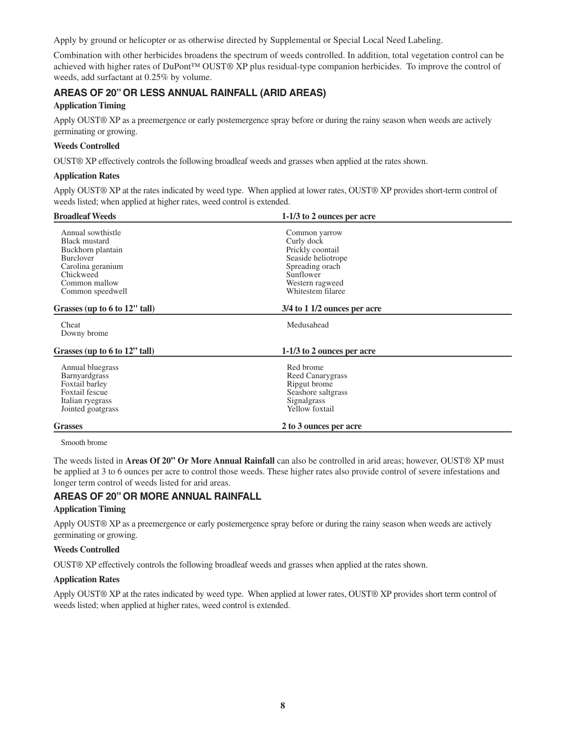Apply by ground or helicopter or as otherwise directed by Supplemental or Special Local Need Labeling.

Combination with other herbicides broadens the spectrum of weeds controlled. In addition, total vegetation control can be achieved with higher rates of DuPont™ OUST® XP plus residual-type companion herbicides. To improve the control of weeds, add surfactant at 0.25% by volume.

## **AREAS OF 20" OR LESS ANNUAL RAINFALL (ARID AREAS)**

#### **Application Timing**

Apply OUST® XP as a preemergence or early postemergence spray before or during the rainy season when weeds are actively germinating or growing.

#### **Weeds Controlled**

OUST® XP effectively controls the following broadleaf weeds and grasses when applied at the rates shown.

#### **Application Rates**

Apply OUST® XP at the rates indicated by weed type. When applied at lower rates, OUST® XP provides short-term control of weeds listed; when applied at higher rates, weed control is extended.

| <b>Broadleaf Weeds</b>                                                                                                                                    | 1-1/3 to 2 ounces per acre                                                                                                                    |  |
|-----------------------------------------------------------------------------------------------------------------------------------------------------------|-----------------------------------------------------------------------------------------------------------------------------------------------|--|
| Annual sowthistle<br><b>Black mustard</b><br>Buckhorn plantain<br><b>Burclover</b><br>Carolina geranium<br>Chickweed<br>Common mallow<br>Common speedwell | Common yarrow<br>Curly dock<br>Prickly coontail<br>Seaside heliotrope<br>Spreading orach<br>Sunflower<br>Western ragweed<br>Whitestem filaree |  |
| Grasses (up to 6 to 12" tall)                                                                                                                             | $3/4$ to 1 1/2 ounces per acre                                                                                                                |  |
| Cheat<br>Downy brome                                                                                                                                      | Medusahead                                                                                                                                    |  |
| Grasses (up to 6 to 12" tall)                                                                                                                             | 1-1/3 to 2 ounces per acre                                                                                                                    |  |
| Annual bluegrass<br><b>Barnyardgrass</b><br>Foxtail barley<br>Foxtail fescue<br>Italian ryegrass<br>Jointed goatgrass                                     | Red brome<br>Reed Canarygrass<br>Ripgut brome<br>Seashore saltgrass<br>Signalgrass<br>Yellow foxtail                                          |  |
| <b>Grasses</b>                                                                                                                                            | 2 to 3 ounces per acre                                                                                                                        |  |

Smooth brome

The weeds listed in **Areas Of 20" Or More Annual Rainfall** can also be controlled in arid areas; however, OUST® XP must be applied at 3 to 6 ounces per acre to control those weeds. These higher rates also provide control of severe infestations and longer term control of weeds listed for arid areas.

#### **AREAS OF 20" OR MORE ANNUAL RAINFALL**

#### **Application Timing**

Apply OUST® XP as a preemergence or early postemergence spray before or during the rainy season when weeds are actively germinating or growing.

#### **Weeds Controlled**

OUST® XP effectively controls the following broadleaf weeds and grasses when applied at the rates shown.

#### **Application Rates**

Apply OUST® XP at the rates indicated by weed type. When applied at lower rates, OUST® XP provides short term control of weeds listed; when applied at higher rates, weed control is extended.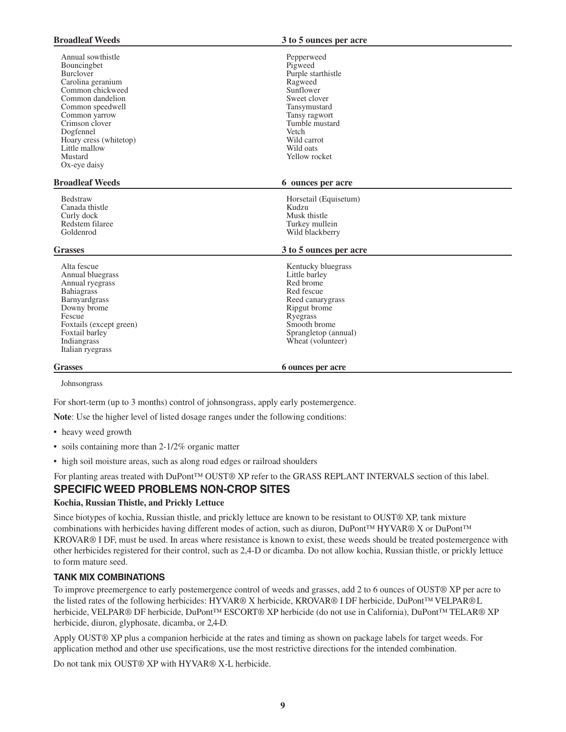| <b>Broadleaf Weeds</b>                                                                                                                                                                                                                               | 3 to 5 ounces per acre                                                                                                                                                                       |
|------------------------------------------------------------------------------------------------------------------------------------------------------------------------------------------------------------------------------------------------------|----------------------------------------------------------------------------------------------------------------------------------------------------------------------------------------------|
| Annual sowthistle<br>Bouncingbet<br>Burclover<br>Carolina geranium<br>Common chickweed<br>Common dandelion<br>Common speedwell<br>Common yarrow<br>Crimson clover<br>Dogfennel<br>Hoary cress (whitetop)<br>Little mallow<br>Mustard<br>Ox-eye daisy | Pepperweed<br>Pigweed<br>Purple starthistle<br>Ragweed<br>Sunflower<br>Sweet clover<br>Tansymustard<br>Tansy ragwort<br>Tumble mustard<br>Vetch<br>Wild carrot<br>Wild oats<br>Yellow rocket |
| <b>Broadleaf Weeds</b>                                                                                                                                                                                                                               | 6 ounces per acre                                                                                                                                                                            |
| Bedstraw<br>Canada thistle<br>Curly dock<br>Redstem filaree<br>Goldenrod                                                                                                                                                                             | Horsetail (Equisetum)<br>Kudzu<br>Musk thistle<br>Turkey mullein<br>Wild blackberry                                                                                                          |
| <b>Grasses</b>                                                                                                                                                                                                                                       | 3 to 5 ounces per acre                                                                                                                                                                       |
| Alta fescue<br>Annual bluegrass<br>Annual ryegrass<br><b>Bahiagrass</b><br>Barnyardgrass<br>Downy brome<br>Fescue<br>Foxtails (except green)<br>Foxtail barley<br>Indiangrass<br>Italian ryegrass                                                    | Kentucky bluegrass<br>Little barley<br>Red brome<br>Red fescue<br>Reed canarygrass<br>Ripgut brome<br>Ryegrass<br>Smooth brome<br>Sprangletop (annual)<br>Wheat (volunteer)                  |
| <b>Grasses</b>                                                                                                                                                                                                                                       | <b>6 ounces per acre</b>                                                                                                                                                                     |

Johnsongrass

For short-term (up to 3 months) control of johnsongrass, apply early postemergence.

**Note**: Use the higher level of listed dosage ranges under the following conditions:

- heavy weed growth
- soils containing more than 2-1/2% organic matter
- high soil moisture areas, such as along road edges or railroad shoulders

For planting areas treated with DuPont™ OUST® XP refer to the GRASS REPLANT INTERVALS section of this label.

## **SPECIFIC WEED PROBLEMS NON-CROP SITES**

#### **Kochia, Russian Thistle, and Prickly Lettuce**

Since biotypes of kochia, Russian thistle, and prickly lettuce are known to be resistant to OUST® XP, tank mixture combinations with herbicides having different modes of action, such as diuron, DuPont™ HYVAR® X or DuPont™ KROVAR® I DF, must be used. In areas where resistance is known to exist, these weeds should be treated postemergence with other herbicides registered for their control, such as 2,4-D or dicamba. Do not allow kochia, Russian thistle, or prickly lettuce to form mature seed.

#### **TANK MIX COMBINATIONS**

To improve preemergence to early postemergence control of weeds and grasses, add 2 to 6 ounces of OUST® XP per acre to the listed rates of the following herbicides: HYVAR® X herbicide, KROVAR® I DF herbicide, DuPont™ VELPAR® L herbicide, VELPAR® DF herbicide, DuPont™ ESCORT® XP herbicide (do not use in California), DuPont™ TELAR® XP herbicide, diuron, glyphosate, dicamba, or 2,4-D.

Apply OUST® XP plus a companion herbicide at the rates and timing as shown on package labels for target weeds. For application method and other use specifications, use the most restrictive directions for the intended combination.

Do not tank mix OUST® XP with HYVAR® X-L herbicide.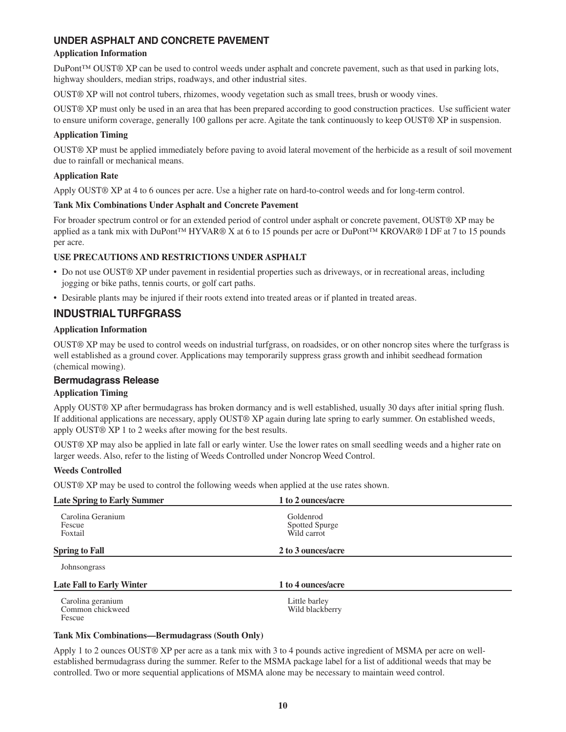## **UNDER ASPHALT AND CONCRETE PAVEMENT**

#### **Application Information**

DuPont™ OUST® XP can be used to control weeds under asphalt and concrete pavement, such as that used in parking lots, highway shoulders, median strips, roadways, and other industrial sites.

OUST® XP will not control tubers, rhizomes, woody vegetation such as small trees, brush or woody vines.

OUST® XP must only be used in an area that has been prepared according to good construction practices. Use sufficient water to ensure uniform coverage, generally 100 gallons per acre. Agitate the tank continuously to keep OUST® XP in suspension.

#### **Application Timing**

OUST® XP must be applied immediately before paving to avoid lateral movement of the herbicide as a result of soil movement due to rainfall or mechanical means.

#### **Application Rate**

Apply OUST® XP at 4 to 6 ounces per acre. Use a higher rate on hard-to-control weeds and for long-term control.

#### **Tank Mix Combinations Under Asphalt and Concrete Pavement**

For broader spectrum control or for an extended period of control under asphalt or concrete pavement, OUST® XP may be applied as a tank mix with DuPont™ HYVAR® X at 6 to 15 pounds per acre or DuPont™ KROVAR® I DF at 7 to 15 pounds per acre.

#### **USE PRECAUTIONS AND RESTRICTIONS UNDER ASPHALT**

- Do not use OUST® XP under pavement in residential properties such as driveways, or in recreational areas, including jogging or bike paths, tennis courts, or golf cart paths.
- Desirable plants may be injured if their roots extend into treated areas or if planted in treated areas.

## **INDUSTRIAL TURFGRASS**

#### **Application Information**

OUST® XP may be used to control weeds on industrial turfgrass, on roadsides, or on other noncrop sites where the turfgrass is well established as a ground cover. Applications may temporarily suppress grass growth and inhibit seedhead formation (chemical mowing).

#### **Bermudagrass Release**

#### **Application Timing**

Apply OUST® XP after bermudagrass has broken dormancy and is well established, usually 30 days after initial spring flush. If additional applications are necessary, apply OUST® XP again during late spring to early summer. On established weeds, apply OUST® XP 1 to 2 weeks after mowing for the best results.

OUST® XP may also be applied in late fall or early winter. Use the lower rates on small seedling weeds and a higher rate on larger weeds. Also, refer to the listing of Weeds Controlled under Noncrop Weed Control.

#### **Weeds Controlled**

OUST® XP may be used to control the following weeds when applied at the use rates shown.

| <b>Late Spring to Early Summer</b>              | 1 to 2 ounces/acre                         |  |
|-------------------------------------------------|--------------------------------------------|--|
| Carolina Geranium<br>Fescue<br>Foxtail          | Goldenrod<br>Spotted Spurge<br>Wild carrot |  |
| <b>Spring to Fall</b>                           | 2 to 3 ounces/acre                         |  |
| Johnsongrass                                    |                                            |  |
| <b>Late Fall to Early Winter</b>                | 1 to 4 ounces/acre                         |  |
| Carolina geranium<br>Common chickweed<br>Fescue | Little barley<br>Wild blackberry           |  |

#### **Tank Mix Combinations—Bermudagrass (South Only)**

Apply 1 to 2 ounces OUST® XP per acre as a tank mix with 3 to 4 pounds active ingredient of MSMA per acre on wellestablished bermudagrass during the summer. Refer to the MSMA package label for a list of additional weeds that may be controlled. Two or more sequential applications of MSMA alone may be necessary to maintain weed control.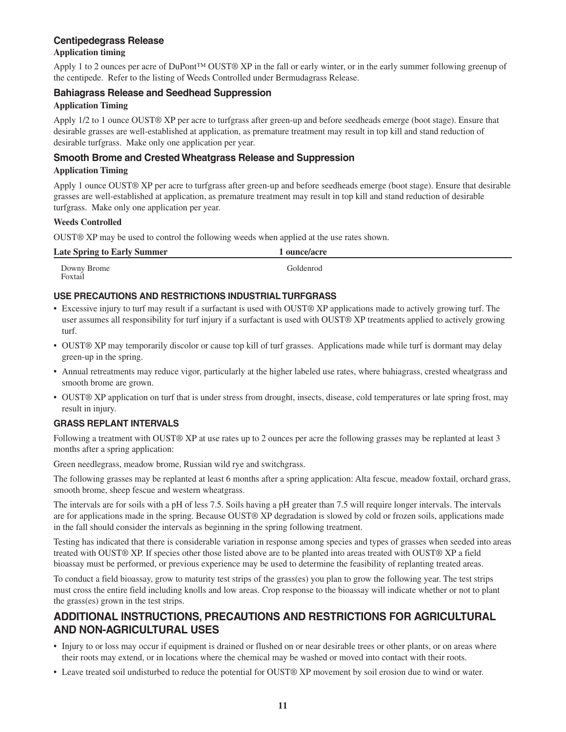## **Centipedegrass Release**

#### **Application timing**

Apply 1 to 2 ounces per acre of DuPont™ OUST® XP in the fall or early winter, or in the early summer following greenup of the centipede. Refer to the listing of Weeds Controlled under Bermudagrass Release.

#### **Bahiagrass Release and Seedhead Suppression**

#### **Application Timing**

Apply 1/2 to 1 ounce OUST® XP per acre to turfgrass after green-up and before seedheads emerge (boot stage). Ensure that desirable grasses are well-established at application, as premature treatment may result in top kill and stand reduction of desirable turfgrass. Make only one application per year.

## **Smooth Brome and Crested Wheatgrass Release and Suppression**

#### **Application Timing**

Apply 1 ounce OUST® XP per acre to turfgrass after green-up and before seedheads emerge (boot stage). Ensure that desirable grasses are well-established at application, as premature treatment may result in top kill and stand reduction of desirable turfgrass. Make only one application per year.

#### **Weeds Controlled**

OUST® XP may be used to control the following weeds when applied at the use rates shown.

| <b>Late Spring to Early Summer</b> | ounce/acre |
|------------------------------------|------------|
| Downy Brome<br>Foxtail             | Goldenrod  |

## **USE PRECAUTIONS AND RESTRICTIONS INDUSTRIAL TURFGRASS**

- Excessive injury to turf may result if a surfactant is used with OUST® XP applications made to actively growing turf. The user assumes all responsibility for turf injury if a surfactant is used with OUST® XP treatments applied to actively growing turf.
- OUST® XP may temporarily discolor or cause top kill of turf grasses. Applications made while turf is dormant may delay green-up in the spring.
- Annual retreatments may reduce vigor, particularly at the higher labeled use rates, where bahiagrass, crested wheatgrass and smooth brome are grown.
- OUST® XP application on turf that is under stress from drought, insects, disease, cold temperatures or late spring frost, may result in injury.

#### **GRASS REPLANT INTERVALS**

Following a treatment with OUST® XP at use rates up to 2 ounces per acre the following grasses may be replanted at least 3 months after a spring application:

Green needlegrass, meadow brome, Russian wild rye and switchgrass.

The following grasses may be replanted at least 6 months after a spring application: Alta fescue, meadow foxtail, orchard grass, smooth brome, sheep fescue and western wheatgrass.

The intervals are for soils with a pH of less 7.5. Soils having a pH greater than 7.5 will require longer intervals. The intervals are for applications made in the spring. Because OUST® XP degradation is slowed by cold or frozen soils, applications made in the fall should consider the intervals as beginning in the spring following treatment.

Testing has indicated that there is considerable variation in response among species and types of grasses when seeded into areas treated with OUST® XP. If species other those listed above are to be planted into areas treated with OUST® XP a field bioassay must be performed, or previous experience may be used to determine the feasibility of replanting treated areas.

To conduct a field bioassay, grow to maturity test strips of the grass(es) you plan to grow the following year. The test strips must cross the entire field including knolls and low areas. Crop response to the bioassay will indicate whether or not to plant the grass(es) grown in the test strips.

## **ADDITIONAL INSTRUCTIONS, PRECAUTIONS AND RESTRICTIONS FOR AGRICULTURAL AND NON-AGRICULTURAL USES**

- Injury to or loss may occur if equipment is drained or flushed on or near desirable trees or other plants, or on areas where their roots may extend, or in locations where the chemical may be washed or moved into contact with their roots.
- Leave treated soil undisturbed to reduce the potential for OUST® XP movement by soil erosion due to wind or water.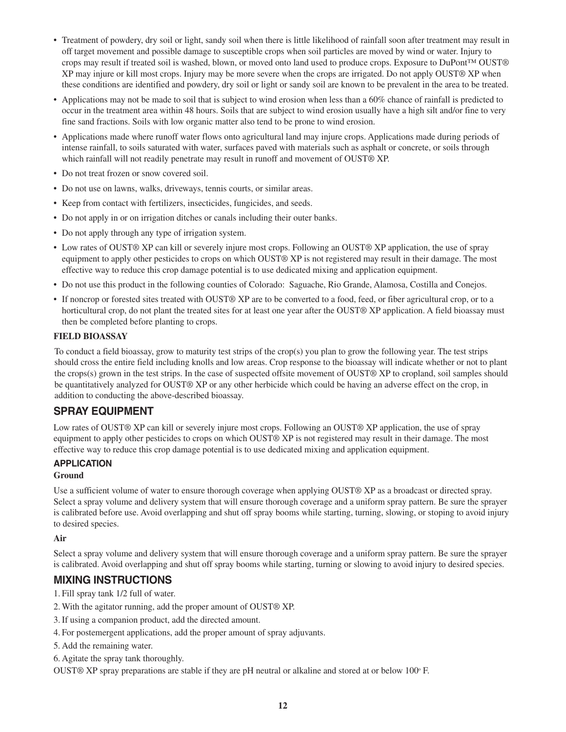- Treatment of powdery, dry soil or light, sandy soil when there is little likelihood of rainfall soon after treatment may result in off target movement and possible damage to susceptible crops when soil particles are moved by wind or water. Injury to crops may result if treated soil is washed, blown, or moved onto land used to produce crops. Exposure to DuPont™ OUST® XP may injure or kill most crops. Injury may be more severe when the crops are irrigated. Do not apply OUST® XP when these conditions are identified and powdery, dry soil or light or sandy soil are known to be prevalent in the area to be treated.
- Applications may not be made to soil that is subject to wind erosion when less than a 60% chance of rainfall is predicted to occur in the treatment area within 48 hours. Soils that are subject to wind erosion usually have a high silt and/or fine to very fine sand fractions. Soils with low organic matter also tend to be prone to wind erosion.
- Applications made where runoff water flows onto agricultural land may injure crops. Applications made during periods of intense rainfall, to soils saturated with water, surfaces paved with materials such as asphalt or concrete, or soils through which rainfall will not readily penetrate may result in runoff and movement of OUST® XP.
- Do not treat frozen or snow covered soil.
- Do not use on lawns, walks, driveways, tennis courts, or similar areas.
- Keep from contact with fertilizers, insecticides, fungicides, and seeds.
- Do not apply in or on irrigation ditches or canals including their outer banks.
- Do not apply through any type of irrigation system.
- Low rates of OUST® XP can kill or severely injure most crops. Following an OUST® XP application, the use of spray equipment to apply other pesticides to crops on which OUST® XP is not registered may result in their damage. The most effective way to reduce this crop damage potential is to use dedicated mixing and application equipment.
- Do not use this product in the following counties of Colorado: Saguache, Rio Grande, Alamosa, Costilla and Conejos.
- If noncrop or forested sites treated with OUST® XP are to be converted to a food, feed, or fiber agricultural crop, or to a horticultural crop, do not plant the treated sites for at least one year after the OUST® XP application. A field bioassay must then be completed before planting to crops.

#### **FIELD BIOASSAY**

To conduct a field bioassay, grow to maturity test strips of the crop(s) you plan to grow the following year. The test strips should cross the entire field including knolls and low areas. Crop response to the bioassay will indicate whether or not to plant the crops(s) grown in the test strips. In the case of suspected offsite movement of OUST® XP to cropland, soil samples should be quantitatively analyzed for OUST® XP or any other herbicide which could be having an adverse effect on the crop, in addition to conducting the above-described bioassay.

## **SPRAY EQUIPMENT**

Low rates of OUST® XP can kill or severely injure most crops. Following an OUST® XP application, the use of spray equipment to apply other pesticides to crops on which OUST® XP is not registered may result in their damage. The most effective way to reduce this crop damage potential is to use dedicated mixing and application equipment.

#### **APPLICATION**

#### **Ground**

Use a sufficient volume of water to ensure thorough coverage when applying OUST® XP as a broadcast or directed spray. Select a spray volume and delivery system that will ensure thorough coverage and a uniform spray pattern. Be sure the sprayer is calibrated before use. Avoid overlapping and shut off spray booms while starting, turning, slowing, or stoping to avoid injury to desired species.

#### **Air**

Select a spray volume and delivery system that will ensure thorough coverage and a uniform spray pattern. Be sure the sprayer is calibrated. Avoid overlapping and shut off spray booms while starting, turning or slowing to avoid injury to desired species.

## **MIXING INSTRUCTIONS**

- 1. Fill spray tank 1/2 full of water.
- 2. With the agitator running, add the proper amount of OUST® XP.
- 3. If using a companion product, add the directed amount.
- 4. For postemergent applications, add the proper amount of spray adjuvants.
- 5. Add the remaining water.
- 6. Agitate the spray tank thoroughly.

OUST® XP spray preparations are stable if they are pH neutral or alkaline and stored at or below  $100^\circ$  F.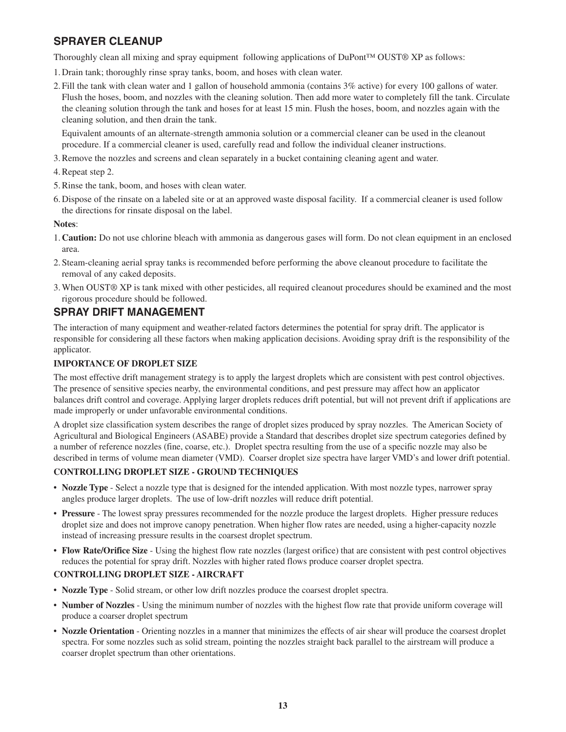## **SPRAYER CLEANUP**

Thoroughly clean all mixing and spray equipment following applications of DuPont™ OUST® XP as follows:

- 1. Drain tank; thoroughly rinse spray tanks, boom, and hoses with clean water.
- 2. Fill the tank with clean water and 1 gallon of household ammonia (contains 3% active) for every 100 gallons of water. Flush the hoses, boom, and nozzles with the cleaning solution. Then add more water to completely fill the tank. Circulate the cleaning solution through the tank and hoses for at least 15 min. Flush the hoses, boom, and nozzles again with the cleaning solution, and then drain the tank.

Equivalent amounts of an alternate-strength ammonia solution or a commercial cleaner can be used in the cleanout procedure. If a commercial cleaner is used, carefully read and follow the individual cleaner instructions.

- 3. Remove the nozzles and screens and clean separately in a bucket containing cleaning agent and water.
- 4. Repeat step 2.
- 5. Rinse the tank, boom, and hoses with clean water.
- 6. Dispose of the rinsate on a labeled site or at an approved waste disposal facility. If a commercial cleaner is used follow the directions for rinsate disposal on the label.

#### **Notes**:

- 1. **Caution:** Do not use chlorine bleach with ammonia as dangerous gases will form. Do not clean equipment in an enclosed area.
- 2. Steam-cleaning aerial spray tanks is recommended before performing the above cleanout procedure to facilitate the removal of any caked deposits.
- 3. When OUST® XP is tank mixed with other pesticides, all required cleanout procedures should be examined and the most rigorous procedure should be followed.

## **SPRAY DRIFT MANAGEMENT**

The interaction of many equipment and weather-related factors determines the potential for spray drift. The applicator is responsible for considering all these factors when making application decisions. Avoiding spray drift is the responsibility of the applicator.

#### **IMPORTANCE OF DROPLET SIZE**

The most effective drift management strategy is to apply the largest droplets which are consistent with pest control objectives. The presence of sensitive species nearby, the environmental conditions, and pest pressure may affect how an applicator balances drift control and coverage. Applying larger droplets reduces drift potential, but will not prevent drift if applications are made improperly or under unfavorable environmental conditions.

A droplet size classification system describes the range of droplet sizes produced by spray nozzles. The American Society of Agricultural and Biological Engineers (ASABE) provide a Standard that describes droplet size spectrum categories defined by a number of reference nozzles (fine, coarse, etc.). Droplet spectra resulting from the use of a specific nozzle may also be described in terms of volume mean diameter (VMD). Coarser droplet size spectra have larger VMD's and lower drift potential.

#### **CONTROLLING DROPLET SIZE - GROUND TECHNIQUES**

- **Nozzle Type** Select a nozzle type that is designed for the intended application. With most nozzle types, narrower spray angles produce larger droplets. The use of low-drift nozzles will reduce drift potential.
- **Pressure** The lowest spray pressures recommended for the nozzle produce the largest droplets. Higher pressure reduces droplet size and does not improve canopy penetration. When higher flow rates are needed, using a higher-capacity nozzle instead of increasing pressure results in the coarsest droplet spectrum.
- **Flow Rate/Orifice Size** Using the highest flow rate nozzles (largest orifice) that are consistent with pest control objectives reduces the potential for spray drift. Nozzles with higher rated flows produce coarser droplet spectra.

#### **CONTROLLING DROPLET SIZE - AIRCRAFT**

- **Nozzle Type** Solid stream, or other low drift nozzles produce the coarsest droplet spectra.
- **Number of Nozzles** Using the minimum number of nozzles with the highest flow rate that provide uniform coverage will produce a coarser droplet spectrum
- **Nozzle Orientation** Orienting nozzles in a manner that minimizes the effects of air shear will produce the coarsest droplet spectra. For some nozzles such as solid stream, pointing the nozzles straight back parallel to the airstream will produce a coarser droplet spectrum than other orientations.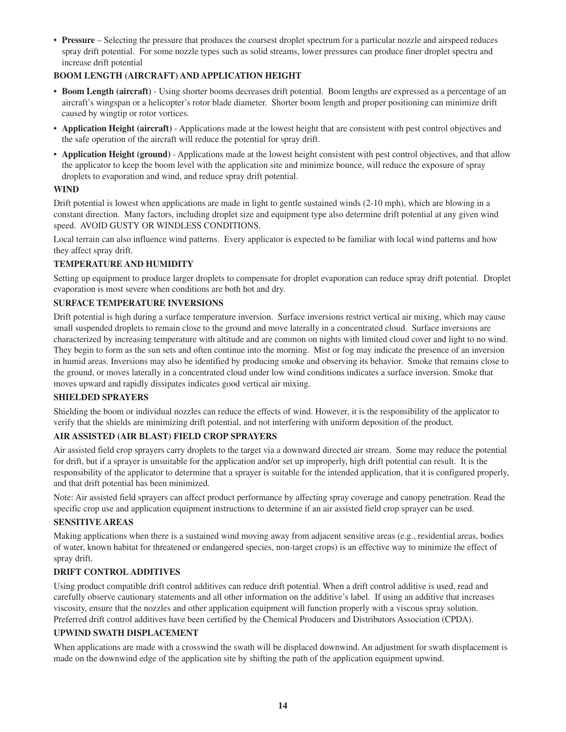• **Pressure** – Selecting the pressure that produces the coarsest droplet spectrum for a particular nozzle and airspeed reduces spray drift potential. For some nozzle types such as solid streams, lower pressures can produce finer droplet spectra and increase drift potential

#### **BOOM LENGTH (AIRCRAFT) AND APPLICATION HEIGHT**

- **Boom Length (aircraft)** Using shorter booms decreases drift potential. Boom lengths are expressed as a percentage of an aircraft's wingspan or a helicopter's rotor blade diameter. Shorter boom length and proper positioning can minimize drift caused by wingtip or rotor vortices.
- **Application Height (aircraft)** Applications made at the lowest height that are consistent with pest control objectives and the safe operation of the aircraft will reduce the potential for spray drift.
- **Application Height (ground)** Applications made at the lowest height consistent with pest control objectives, and that allow the applicator to keep the boom level with the application site and minimize bounce, will reduce the exposure of spray droplets to evaporation and wind, and reduce spray drift potential.

#### **WIND**

Drift potential is lowest when applications are made in light to gentle sustained winds (2-10 mph), which are blowing in a constant direction. Many factors, including droplet size and equipment type also determine drift potential at any given wind speed. AVOID GUSTY OR WINDLESS CONDITIONS.

Local terrain can also influence wind patterns. Every applicator is expected to be familiar with local wind patterns and how they affect spray drift.

#### **TEMPERATURE AND HUMIDITY**

Setting up equipment to produce larger droplets to compensate for droplet evaporation can reduce spray drift potential. Droplet evaporation is most severe when conditions are both hot and dry.

#### **SURFACE TEMPERATURE INVERSIONS**

Drift potential is high during a surface temperature inversion. Surface inversions restrict vertical air mixing, which may cause small suspended droplets to remain close to the ground and move laterally in a concentrated cloud. Surface inversions are characterized by increasing temperature with altitude and are common on nights with limited cloud cover and light to no wind. They begin to form as the sun sets and often continue into the morning. Mist or fog may indicate the presence of an inversion in humid areas. Inversions may also be identified by producing smoke and observing its behavior. Smoke that remains close to the ground, or moves laterally in a concentrated cloud under low wind conditions indicates a surface inversion. Smoke that moves upward and rapidly dissipates indicates good vertical air mixing.

#### **SHIELDED SPRAYERS**

Shielding the boom or individual nozzles can reduce the effects of wind. However, it is the responsibility of the applicator to verify that the shields are minimizing drift potential, and not interfering with uniform deposition of the product.

#### **AIR ASSISTED (AIR BLAST) FIELD CROP SPRAYERS**

Air assisted field crop sprayers carry droplets to the target via a downward directed air stream. Some may reduce the potential for drift, but if a sprayer is unsuitable for the application and/or set up improperly, high drift potential can result. It is the responsibility of the applicator to determine that a sprayer is suitable for the intended application, that it is configured properly, and that drift potential has been minimized.

Note: Air assisted field sprayers can affect product performance by affecting spray coverage and canopy penetration. Read the specific crop use and application equipment instructions to determine if an air assisted field crop sprayer can be used.

#### **SENSITIVE AREAS**

Making applications when there is a sustained wind moving away from adjacent sensitive areas (e.g., residential areas, bodies of water, known habitat for threatened or endangered species, non-target crops) is an effective way to minimize the effect of spray drift.

#### **DRIFT CONTROL ADDITIVES**

Using product compatible drift control additives can reduce drift potential. When a drift control additive is used, read and carefully observe cautionary statements and all other information on the additive's label. If using an additive that increases viscosity, ensure that the nozzles and other application equipment will function properly with a viscous spray solution. Preferred drift control additives have been certified by the Chemical Producers and Distributors Association (CPDA).

#### **UPWIND SWATH DISPLACEMENT**

When applications are made with a crosswind the swath will be displaced downwind. An adjustment for swath displacement is made on the downwind edge of the application site by shifting the path of the application equipment upwind.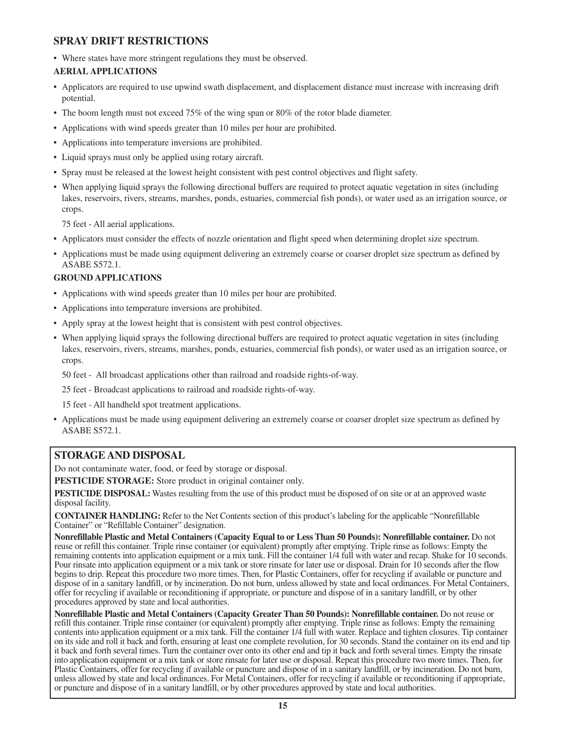## **SPRAY DRIFT RESTRICTIONS**

• Where states have more stringent regulations they must be observed.

## **AERIAL APPLICATIONS**

- Applicators are required to use upwind swath displacement, and displacement distance must increase with increasing drift potential.
- The boom length must not exceed 75% of the wing span or 80% of the rotor blade diameter.
- Applications with wind speeds greater than 10 miles per hour are prohibited.
- Applications into temperature inversions are prohibited.
- Liquid sprays must only be applied using rotary aircraft.
- Spray must be released at the lowest height consistent with pest control objectives and flight safety.
- When applying liquid sprays the following directional buffers are required to protect aquatic vegetation in sites (including lakes, reservoirs, rivers, streams, marshes, ponds, estuaries, commercial fish ponds), or water used as an irrigation source, or crops.

75 feet - All aerial applications.

- Applicators must consider the effects of nozzle orientation and flight speed when determining droplet size spectrum.
- Applications must be made using equipment delivering an extremely coarse or coarser droplet size spectrum as defined by ASABE S572.1.

## **GROUND APPLICATIONS**

- Applications with wind speeds greater than 10 miles per hour are prohibited.
- Applications into temperature inversions are prohibited.
- Apply spray at the lowest height that is consistent with pest control objectives.
- When applying liquid sprays the following directional buffers are required to protect aquatic vegetation in sites (including lakes, reservoirs, rivers, streams, marshes, ponds, estuaries, commercial fish ponds), or water used as an irrigation source, or crops.

50 feet - All broadcast applications other than railroad and roadside rights-of-way.

25 feet - Broadcast applications to railroad and roadside rights-of-way.

15 feet - All handheld spot treatment applications.

• Applications must be made using equipment delivering an extremely coarse or coarser droplet size spectrum as defined by ASABE S572.1.

## **STORAGE AND DISPOSAL**

Do not contaminate water, food, or feed by storage or disposal.

**PESTICIDE STORAGE:** Store product in original container only.

**PESTICIDE DISPOSAL:** Wastes resulting from the use of this product must be disposed of on site or at an approved waste disposal facility.

**CONTAINER HANDLING:** Refer to the Net Contents section of this product's labeling for the applicable "Nonrefillable Container" or "Refillable Container" designation.

**Nonrefillable Plastic and Metal Containers (Capacity Equal to or Less Than 50 Pounds): Nonrefillable container.** Do not reuse or refill this container. Triple rinse container (or equivalent) promptly after emptying. Triple rinse as follows: Empty the remaining contents into application equipment or a mix tank. Fill the container 1/4 full with water and recap. Shake for 10 seconds. Pour rinsate into application equipment or a mix tank or store rinsate for later use or disposal. Drain for 10 seconds after the flow begins to drip. Repeat this procedure two more times. Then, for Plastic Containers, offer for recycling if available or puncture and dispose of in a sanitary landfill, or by incineration. Do not burn, unless allowed by state and local ordinances. For Metal Containers, offer for recycling if available or reconditioning if appropriate, or puncture and dispose of in a sanitary landfill, or by other procedures approved by state and local authorities.

**Nonrefillable Plastic and Metal Containers (Capacity Greater Than 50 Pounds): Nonrefillable container.** Do not reuse or refill this container. Triple rinse container (or equivalent) promptly after emptying. Triple rinse as follows: Empty the remaining contents into application equipment or a mix tank. Fill the container 1/4 full with water. Replace and tighten closures. Tip container on its side and roll it back and forth, ensuring at least one complete revolution, for 30 seconds. Stand the container on its end and tip it back and forth several times. Turn the container over onto its other end and tip it back and forth several times. Empty the rinsate into application equipment or a mix tank or store rinsate for later use or disposal. Repeat this procedure two more times. Then, for Plastic Containers, offer for recycling if available or puncture and dispose of in a sanitary landfill, or by incineration. Do not burn, unless allowed by state and local ordinances. For Metal Containers, offer for recycling if available or reconditioning if appropriate, or puncture and dispose of in a sanitary landfill, or by other procedures approved by state and local authorities.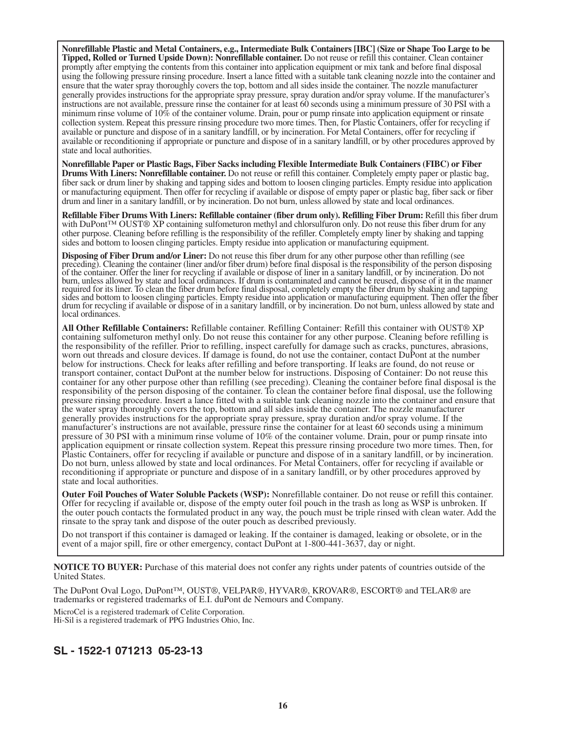**Nonrefillable Plastic and Metal Containers, e.g., Intermediate Bulk Containers [IBC] (Size or Shape Too Large to be Tipped, Rolled or Turned Upside Down): Nonrefillable container.** Do not reuse or refill this container. Clean container promptly after emptying the contents from this container into application equipment or mix tank and before final disposal using the following pressure rinsing procedure. Insert a lance fitted with a suitable tank cleaning nozzle into the container and ensure that the water spray thoroughly covers the top, bottom and all sides inside the container. The nozzle manufacturer generally provides instructions for the appropriate spray pressure, spray duration and/or spray volume. If the manufacturer's instructions are not available, pressure rinse the container for at least 60 seconds using a minimum pressure of 30 PSI with a minimum rinse volume of  $10\%$  of the container volume. Drain, pour or pump rinsate into application equipment or rinsate collection system. Repeat this pressure rinsing procedure two more times. Then, for Plastic Containers, offer for recycling if available or puncture and dispose of in a sanitary landfill, or by incineration. For Metal Containers, offer for recycling if available or reconditioning if appropriate or puncture and dispose of in a sanitary landfill, or by other procedures approved by state and local authorities.

**Nonrefillable Paper or Plastic Bags, Fiber Sacks including Flexible Intermediate Bulk Containers (FIBC) or Fiber Drums With Liners: Nonrefillable container.** Do not reuse or refill this container. Completely empty paper or plastic bag, fiber sack or drum liner by shaking and tapping sides and bottom to loosen clinging particles. Empty residue into application or manufacturing equipment. Then offer for recycling if available or dispose of empty paper or plastic bag, fiber sack or fiber drum and liner in a sanitary landfill, or by incineration. Do not burn, unless allowed by state and local ordinances.

**Refillable Fiber Drums With Liners: Refillable container (fiber drum only). Refilling Fiber Drum:** Refill this fiber drum with DuPont™ OUST® XP containing sulfometuron methyl and chlorsulfuron only. Do not reuse this fiber drum for any other purpose. Cleaning before refilling is the responsibility of the refiller. Completely empty liner by shaking and tapping sides and bottom to loosen clinging particles. Empty residue into application or manufacturing equipment.

**Disposing of Fiber Drum and/or Liner:** Do not reuse this fiber drum for any other purpose other than refilling (see preceding). Cleaning the container (liner and/or fiber drum) before final disposal is the responsibility of the person disposing of the container. Offer the liner for recycling if available or dispose of liner in a sanitary landfill, or by incineration. Do not burn, unless allowed by state and local ordinances. If drum is contaminated and cannot be reused, dispose of it in the manner required for its liner. To clean the fiber drum before final disposal, completely empty the fiber drum by shaking and tapping sides and bottom to loosen clinging particles. Empty residue into application or manufacturing equipment. Then offer the fiber drum for recycling if available or dispose of in a sanitary landfill, or by incineration. Do not burn, unless allowed by state and local ordinances.

**All Other Refillable Containers:** Refillable container. Refilling Container: Refill this container with OUST® XP containing sulfometuron methyl only. Do not reuse this container for any other purpose. Cleaning before refilling is the responsibility of the refiller. Prior to refilling, inspect carefully for damage such as cracks, punctures, abrasions, worn out threads and closure devices. If damage is found, do not use the container, contact DuPont at the number below for instructions. Check for leaks after refilling and before transporting. If leaks are found, do not reuse or transport container, contact DuPont at the number below for instructions. Disposing of Container: Do not reuse this container for any other purpose other than refilling (see preceding). Cleaning the container before final disposal is the responsibility of the person disposing of the container. To clean the container before final disposal, use the following pressure rinsing procedure. Insert a lance fitted with a suitable tank cleaning nozzle into the container and ensure that the water spray thoroughly covers the top, bottom and all sides inside the container. The nozzle manufacturer generally provides instructions for the appropriate spray pressure, spray duration and/or spray volume. If the manufacturer's instructions are not available, pressure rinse the container for at least 60 seconds using a minimum pressure of 30 PSI with a minimum rinse volume of 10% of the container volume. Drain, pour or pump rinsate into application equipment or rinsate collection system. Repeat this pressure rinsing procedure two more times. Then, for Plastic Containers, offer for recycling if available or puncture and dispose of in a sanitary landfill, or by incineration. Do not burn, unless allowed by state and local ordinances. For Metal Containers, offer for recycling if available or reconditioning if appropriate or puncture and dispose of in a sanitary landfill, or by other procedures approved by state and local authorities.

**Outer Foil Pouches of Water Soluble Packets (WSP):** Nonrefillable container. Do not reuse or refill this container. Offer for recycling if available or, dispose of the empty outer foil pouch in the trash as long as WSP is unbroken. If the outer pouch contacts the formulated product in any way, the pouch must be triple rinsed with clean water. Add the rinsate to the spray tank and dispose of the outer pouch as described previously.

Do not transport if this container is damaged or leaking. If the container is damaged, leaking or obsolete, or in the event of a major spill, fire or other emergency, contact DuPont at 1-800-441-3637, day or night.

**NOTICE TO BUYER:** Purchase of this material does not confer any rights under patents of countries outside of the United States.

The DuPont Oval Logo, DuPont™, OUST®, VELPAR®, HYVAR®, KROVAR®, ESCORT® and TELAR® are trademarks or registered trademarks of E.I. duPont de Nemours and Company.

MicroCel is a registered trademark of Celite Corporation. Hi-Sil is a registered trademark of PPG Industries Ohio, Inc.

## **SL - 1522-1 071213 05-23-13**